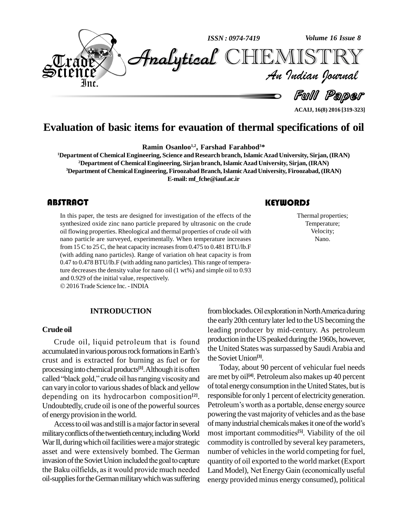

**ACAIJ, 16(8) 2016 [319-323]**

# **Evaluation of basic items for evauation of thermal specifications of oil**

**Ramin Osanloo 1,2 , Farshad Farahbod <sup>3</sup>\***

**Department of Chemical Engineering, Science and Research branch,IslamicAzad University, Sirjan, (IRAN) Department of Chemical Engineering, Sirjan branch,IslamicAzad University, Sirjan, (IRAN) Department of ChemicalEngineering, FiroozabadBranch,IslamicAzadUniversity, Firoozabad,(IRAN) E-mail: [mf\\_fche@iauf.ac.ir](mailto:mf_fche@iauf.ac.ir)**

## **ABSTRACT**

In this paper, the tests a<br>synthesized oxide zinc r<br>oil flowing properties. R In this paper, the tests are designed for investigation of the effects of the synthesized oxide zinc nano particle prepared by ultrasonic on the crude oil flowing properties. Rheological and thermal properties of crude oil with nano particle are surveyed, experimentally. When temperature increases from 15 C to 25 C, the heat capacity increases from 0.475 to 0.481 BTU/lb.F (with adding nano particles). Range of variation oh heat capacity is from 0.47 to 0.478 BTU/lb.F (with adding nano particles). Thisrange of temperature decreases the density value for nano oil (1 wt%) and simple oil to 0.93 and 0.929 of the initial value, respectively.

2016Trade Science Inc. -INDIA

#### **INTRODUCTION**

#### **Crude oil**

Crude oil, liquid petroleum that is found Lead:<br>Crude oil, liquid petroleum that is found produ<br>accumulated in various porous rock formations in Earth's the U Crude oil, liquid petroleum that is found<br>accumulated in various porous rock formations in Earth's the crust and is extracted for burning as fuel or for the processing into chemical products<sup>[1]</sup>. Although it is often  $10^{\circ}$ crust and is extracted for burning as fuel or for<br>processing into chemical products<sup>[1]</sup>. Although it is often<br>called "black gold," crude oil has ranging viscosity and are me can vary in color to various shades of black and yellow depending on its hydrocarbon composition **[2]**. Undoubtedly, crude oil is one of the powerful sources of energy provision in the world.

of energy provision in the world. poweri<br>Access to oil was and still is a major factor in several of many<br>military conflicts of the twentieth century, including World most in War II, during which oil facilities were a major strategic comm<br>asset and were extensively bombed. The German numb<br>invasion of the Soviet Union included the goal to capture quant military conflicts of the twentieth century, including World most in War II, during which oil facilities were a major strategic common asset and were extensively bombed. The German numbe asset and were extensively bombed. The German number of vehicles in the world competing for fuel,<br>invasion of the Soviet Union included the goal to capture quantity of oil exported to the world market (Export<br>the Baku oilf oil-supplies for the German military which was suffering

## **KEYWORDS**

Thermal proper<br>Temperature<br>Velocity; Thermal properties; Temperature; Velocity; Nano.

from blockades. Oil exploration in North America during the early 20th century later led to the US becoming the leading producer by mid-century. As petroleum production in the US peaked during the 1960s, however, the United States was surpassed by Saudi Arabia and theSoviet Union **[3]**.

Access to oil was and still is a major factor in several of many industrial chemicals makes it one of the world's Today, about 90 percent of vehicular fuel needs are met by oil **[4]**. Petroleum also makes up 40 percent of total energy consumption in the United States, but is responsible for only 1 percent of electricity generation. of total energy consumption in the United States, but is<br>responsible for only 1 percent of electricity generation.<br>Petroleum's worth as a portable, dense energy source powering the vast majority of vehicles and as the base<br>of many industrial chemicals makes it one of the world's<br>most important commodities<sup>[5]</sup>. Viability of the oil Petroleum's worth as a portable, dense energy source most important commodities<sup>[5]</sup>. Viability of the oil commodity is controlled by several key parameters, number of vehicles in the world competing for fuel,<br>quantity of oil exported to the world market (Export<br>Land Model), Net Energy Gain (economically useful quantity of oil exported to the world market (Export energy provided minus energy consumed), political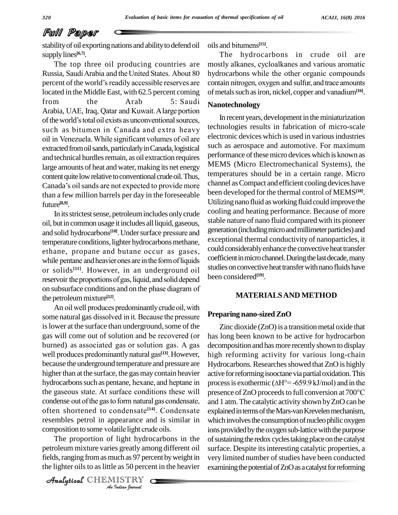## Full Paper

stability of oil exporting nations and ability to defend oil supply lines<sup>[6,7]</sup>.

The top three oil producing countries are Russia, SaudiArabia and the United States. About <sup>80</sup> The top three oil producing countries are most<br>Russia, Saudi Arabia and the United States. About 80 hydro<br>percent of the world's readily accessible reserves are contain located in the Middle East, with 62.5 percent coming of metals such as iron, nickel, copper and vanadium<sup>[16]</sup>. percent of the world's readily accessible reserves are<br>located in the Middle East, with 62.5 percent coming of<br>from the Arab 5: Saudi Ne located in the Middle East, with 62.5 percent coming of meta<br>from the Arab 5: Saudi<br>Arabia, UAE, Iraq, Qatar and Kuwait. A large portion from the Arab 5: Saudi N:<br>Arabia, UAE, Iraq, Qatar and Kuwait. A large portion<br>of the world's total oil exists as unconventional sources, Arabia, UAE, Iraq, Qatar and Kuwait. A large portion<br>of the world's total oil exists as unconventional sources, In r<br>such as bitumen in Canada and extra heavy techno of the world's total oil exists as unconventional sources,<br>such as bitumen in Canada and extra heavy<br>oil in Venezuela. While significant volumes of oil are extracted from oil sands, particularly in Canada, logistical and technical hurdles remain, as oil extraction requires large amounts of heat and water, making its net energy content quite low relative to conventional crude oil. Thus, Canada's oil sands are not expected to provide more than a few million barrels per day in the foreseeable future **[8,9]**.

In its strictest sense, petroleum includes only crude<br>
but in common usage it includes all liquid, gaseous, stable is<br>
solid hydrocarbons<sup>[10]</sup>. Under surface pressure and generat oil, but in common usage itincludes allliquid, gaseous, In its strictest sense, petrole<br>oil, but in common usage it inclu<br>and solid hydrocarbons<sup>[10]</sup>. Und temperature conditions, lighter hydrocarbons methane, and solid hydrocarbons<sup>[10]</sup>. Under surface pressure and getemperature conditions, lighter hydrocarbons methane, exethane, propane and butane occur as gases, co temperature conditions, lighter hydrocarbons methane, exce<br>ethane, propane and butane occur as gases, could<br>while pentane and heavier ones are in the form of liquids or solids<sup>[11]</sup>. However, in an underground oil propane and butane occur as gases, <sup>cou</sup><br>ane and heavier ones are in the form of liquids <sup>coe</sup> while pentane and heavier ones are in the form of liquids<br>or solids<sup>[11]</sup>. However, in an underground oil studies<br>reservoir the proportions of gas, liquid, and solid depend been co reservoir the proportions of gas, liquid, and solid depend<br>on subsurface conditions and on the phase diagram of the petroleum mixture<sup>[12]</sup>. ubsurface conditions and on the phase diagram of<br>petroleum mixture<sup>[12]</sup>.<br>An oil well produces predominantly crude oil, with

composition to some volatile light crude oils. the petroleum mixture<sup>[12]</sup>.<br>An oil well produces predominantly crude oil, with<br>some natural gas dissolved in it. Because the pressure **Prepa** is lower at the surface than underground, some of the some natural gas dissolved in it. Because the pressure gas will come out of solution and be recovered (or<br>burned) as associated gas or solution gas. A gas gas will come out of solution and be recovered (or habitantly natural gas. A gas de well produces predominantly natural gas<sup>[13]</sup>. However, hi because the underground temperature and pressure are higher than at the surface, the gas may contain heavier because the underground temperature and pressure are <br>higher than at the surface, the gas may contain heavier active f<br>hydrocarbons such as pentane, hexane, and heptane in process higher than at the surface, the gas may contain heavier act<br>hydrocarbons such as pentane, hexane, and heptane in pro<br>the gaseous state. At surface conditions these will hydrocarbons such as pentane, hexane, and heptane in<br>the gaseous state. At surface conditions these will pr<br>condense out of the gas to form natural gas condensate, an the gaseous state. At surface conditions these will preser condense out of the gas to form natural gas condensate, and 1 often shortened to condensate<sup>[14]</sup>. Condensate explai resembles petrol in appearance and is similar in often shortened to condensate<sup>[14]</sup>. Conden<br>resembles petrol in appearance and is simila<br>composition to some volatile light crude oils.

*Indian*<br>*Indian Indian*<br>*Indian Journal*<br>*ISTRY* The proportion of light hydrocarbons in the of sust petroleum mixture varies greatly among different oil fields, ranging from as much as 97 percent by weight in the lighter oils to as little as 50 percent in the heavier

CHEMISTRY COMPANY

oils and bitumens **[15]**.

The hydrocarbons in crude oil are oils and bitumens<sup>[15]</sup>.<br>The hydrocarbons in crude oil are<br>mostly alkanes, cycloalkanes and various aromatic The hydrocarbons in crude oil are<br>mostly alkanes, cycloalkanes and various aromatic<br>hydrocarbons while the other organic compounds mostly alkanes, cycloalkanes and various aromatic<br>hydrocarbons while the other organic compounds<br>contain nitrogen, oxygen and sulfur, and trace amounts hydrocarbons while the other organic compounds

## **Nanotechnology**

In recent years, development in the miniaturization technologies results in fabrication of micro-scale electronic devices which is used in various industries such as aerospace and automotive. For maximum performance of these micro devices which is known as MEMS (Micro Electromechanical Systems), the temperatures should be in a certain range. Micro channel as Compact and efficient cooling devices have been developed for the thermal control of MEMS **[18]**. Utilizing nano fluid as working fluid could improve the cooling and heating performance. Because of more stable nature of nano fluid compared with its pioneer generation (including micro and millimeter particles) and exceptional thermal conductivity of nanoparticles, it could considerably enhance the convective heat transfer coefficient in micro channel. During the last decade, many studies on convective heat transfer with nano fluids have been considered **[19]**.

## **MATERIALSAND METHOD**

#### **Preparing nano-sized ZnO**

Zinc dioxide  $(ZnO)$  is a transition metal oxide that has long been known to be active for hydrocarbon decomposition and has more recently shown to display high reforming activity for various long-chain Hydrocarbons. Researches showed that ZnO is highly active for reforming isooctane via partial oxidation. This Hydrocarbons. Researches showed that ZnO is highly<br>active for reforming isooctane via partial oxidation. This<br>process is exothermic ( $\Delta H^{\circ}=$  -659.9 kJ/mol) and in the active for reforming isooctane via partial oxidation. This<br>process is exothermic ( $\Delta H^{\circ}$ = -659.9 kJ/mol) and in the<br>presence of ZnO proceeds to full conversion at 700°C and 1 atm.The catalytic activity shown byZnO can be explained in terms of the Mars-van Krevelen mechanism, which involves the consumption of nucleo philic oxygen ions provided by the oxygen sub-lattice with the purpose of sustaining the redox cycles taking place on the catalyst surface. Despite its interesting catalytic properties, a very limited number of studies have been conducted examining the potential of ZnO as a catalyst for reforming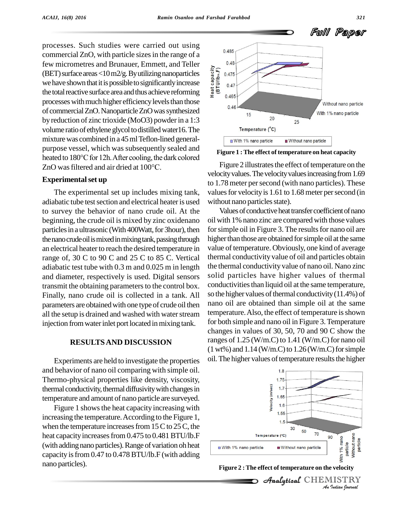processes. Such studies were carried out using<br> $17.6 \div 17.6 = 11.1 \div 17.6 = 0.485$ commercial ZnO, with particle sizes in the range of a few micrometres and Brunauer, Emmett, and Teller<br>
(BET) surface areas <10 m2/g. By utilizing nanoparticles<br>
we have shown that it is possible to significantly increase<br>
the total reactive surface area and thus achieve ref (BET) surface areas < $10 \,\mathrm{m}$ 2/g. By utilizing nanoparticles we have shown that it is possible to significantly increase the total reactive surface area and thus achieve reforming  $\frac{2}{x}$ processes with much higher efficiency levels than those of commercialZnO.NanoparticleZnOwassynthesized by reduction of zinc trioxide (MoO3) powderin a 1:3 volume ratio of ethylene glycol to distilled water16. The mixture was combined in a 45 ml Teflon-lined generalpurpose vessel, which was subsequently sealed and<br>heated to 180°C for 12h. After cooling, the dark colored<br>ZnO was filtered and air dried at 100°C. Fig heated to 180°C for 12h. After cooling, the dark colored

## **Experimentalset up**

The experimental set up includes mixing tank, adiabatic tube test section and electrical heater is used to survey the behavior of nano crude oil. At the beginning, the crude oil is mixed by zinc oxidenano particles in a ultrasonic (With 400Watt, for 3hour), then the nano crude oil is mixed in mixing tank, passing through an electrical heater to reach the desired temperature in range of, 30 C to 90 C and 25 C to 85 C. Vertical adiabatic test tube with 0.3 m and 0.025 m in length and diameter, respectively is used. Digital sensors transmit the obtaining parameters to the control box. Finally, nano crude oil is collected in a tank. All parameters are obtained with one type of crude oil then all the setup is drained and washed with water stream injection from water inlet port located in mixing tank.

#### **RESULTSAND DISCUSSION**

Experiments are held to investigate the properties and behavior of nano oil comparing with simple oil.Thermo-physical properties like density, viscosity, thermal conductivity, thermal diffusivity with changes in temperature and amount of nano particle are surveyed.

Figure 1 shows the heat capacity increasing with increasing the temperature. According to the Figure 1, when the temperature increases from  $15C$  to  $25C$ , the heat capacity increases from 0.475 to 0.481 BTU/lb.F (with adding nano particles). Range of variation oh heat capacity isfrom 0.47 to 0.478BTU/lb.F (with adding nano particles).



**Figure 1 :The effect of temperature on heat capacity**

Figure 2 illustrates the effect of temperature on the velocity values. The velocity values increasing from 1.69 to 1.78 meter per second (with nano particles). These values for velocity is 1.61 to 1.68 meter per second (in without nano particles state).

Values of conductive heat transfer coefficient of nano oil with 1% nano zinc are compared with those values for simple oil in Figure 3. The results for nano oil are higher than those are obtained for simple oil at the same value of temperature. Obviously, one kind of average thermal conductivity value of oil and particles obtain the thermal conductivity value of nano oil. Nano zinc solid particles have higher values of thermal conductivities than liquid oil at the same temperature, so the higher values of thermal conductivity  $(11.4\%)$  of nano oil are obtained than simple oil at the same temperature. Also, the effect of temperature is shown for both simple and nano oil in Figure 3.Temperature changes in values of 30, 50, 70 and 90 C show the ranges of  $1.25$  (W/m.C) to  $1.41$  (W/m.C) for nano oil  $(1 wt\%)$  and  $1.14$  (W/m.C) to  $1.26$  (W/m.C) for simple oil. The higher values of temperature results the higher



**Figure 2 :The effect of temperature on the velocity**

Analytical CHEMIST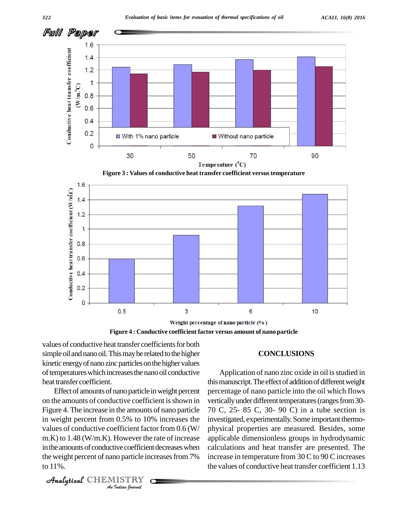

**Figure 3 : Values of conductive heat transfer coefficient versustemperature**



**Figure 4 : Conductive coefficient factor versus amount of nano particle**

values of conductive heat transfer coefficients for both simple oil and nano oil. This may be related to the higher kinetic energy of nano zinc particles on the higher values of temperatures which increases the nano oil conductive heat transfer coefficient.

values of conductive coefficient factor from  $0.6$  (W/ phy *Indian*<br>*Indian*<br>*ISTRY*<br>*Indian bournal* m.K) to 1.48 (W/m.K). However the rate of increase applic Effect of amounts of nano particle in weight percent on the amounts of conductive coefficient is shown in Figure 4. The increase in the amounts of nano particle in weight percent from 0.5% to 10% increases the in the amounts of conductive coefficient decreases when the weight percent of nano particle increases from 7% to 11%.

```
CHEMISTRY COMPANY
```
### **CONCLUSIONS**

Application of nano zinc oxide in oil is studied in this manuscript. The effect of addition of different weight percentage of nano particle into the oil which flows vertically under different temperatures (ranges from 30-70 C, 25- 85 C, 30- 90 C) in a tube section is investigated, experimentally.Some important thermo physical properties are measured. Besides, some applicable dimensionless groups in hydrodynamic calculations and heat transfer are presented. The increase in temperature from 30 C to 90 C increases the values of conductive heat transfer coefficient 1.13